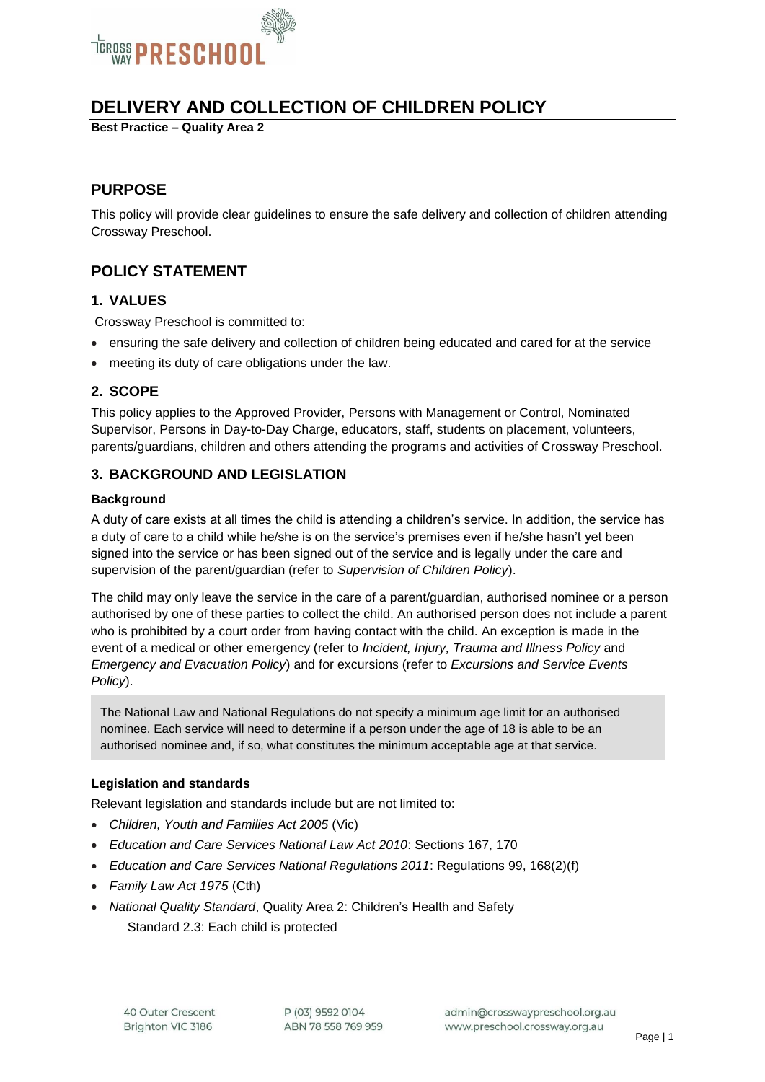

# **DELIVERY AND COLLECTION OF CHILDREN POLICY**

**Best Practice – Quality Area 2**

## **PURPOSE**

This policy will provide clear guidelines to ensure the safe delivery and collection of children attending Crossway Preschool.

## **POLICY STATEMENT**

## **1. VALUES**

Crossway Preschool is committed to:

- ensuring the safe delivery and collection of children being educated and cared for at the service
- meeting its duty of care obligations under the law.

## **2. SCOPE**

This policy applies to the Approved Provider, Persons with Management or Control, Nominated Supervisor, Persons in Day-to-Day Charge, educators, staff, students on placement, volunteers, parents/guardians, children and others attending the programs and activities of Crossway Preschool.

## **3. BACKGROUND AND LEGISLATION**

#### **Background**

A duty of care exists at all times the child is attending a children's service. In addition, the service has a duty of care to a child while he/she is on the service's premises even if he/she hasn't yet been signed into the service or has been signed out of the service and is legally under the care and supervision of the parent/guardian (refer to *Supervision of Children Policy*).

The child may only leave the service in the care of a parent/guardian, authorised nominee or a person authorised by one of these parties to collect the child. An authorised person does not include a parent who is prohibited by a court order from having contact with the child. An exception is made in the event of a medical or other emergency (refer to *Incident, Injury, Trauma and Illness Policy* and *Emergency and Evacuation Policy*) and for excursions (refer to *Excursions and Service Events Policy*).

The National Law and National Regulations do not specify a minimum age limit for an authorised nominee. Each service will need to determine if a person under the age of 18 is able to be an authorised nominee and, if so, what constitutes the minimum acceptable age at that service.

## **Legislation and standards**

Relevant legislation and standards include but are not limited to:

- *Children, Youth and Families Act 2005* (Vic)
- *Education and Care Services National Law Act 2010*: Sections 167, 170
- *Education and Care Services National Regulations 2011*: Regulations 99, 168(2)(f)
- *Family Law Act 1975* (Cth)
- *National Quality Standard*, Quality Area 2: Children's Health and Safety
	- Standard 2.3: Each child is protected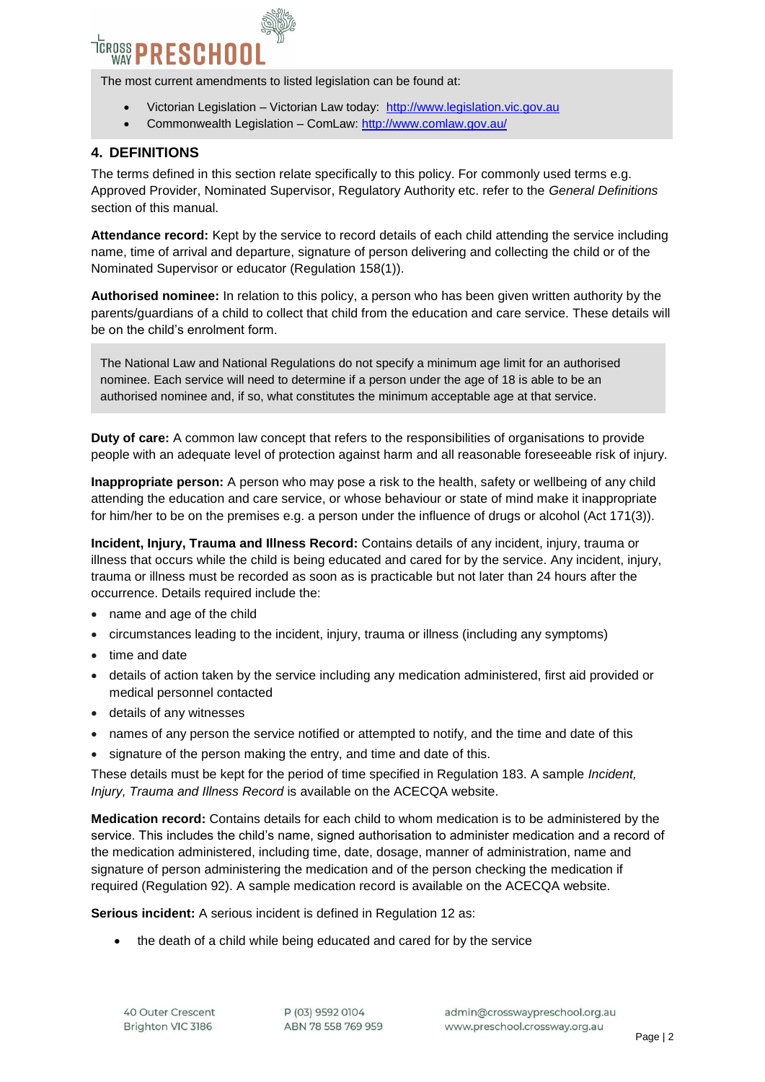

The most current amendments to listed legislation can be found at:

- Victorian Legislation Victorian Law today: [http://www.legislation.vic.gov.au](http://www.legislation.vic.gov.au/)
- Commonwealth Legislation ComLaw[: http://www.comlaw.gov.au/](http://www.comlaw.gov.au/)

### **4. DEFINITIONS**

The terms defined in this section relate specifically to this policy. For commonly used terms e.g. Approved Provider, Nominated Supervisor, Regulatory Authority etc. refer to the *General Definitions* section of this manual.

**Attendance record:** Kept by the service to record details of each child attending the service including name, time of arrival and departure, signature of person delivering and collecting the child or of the Nominated Supervisor or educator (Regulation 158(1)).

**Authorised nominee:** In relation to this policy, a person who has been given written authority by the parents/guardians of a child to collect that child from the education and care service. These details will be on the child's enrolment form.

The National Law and National Regulations do not specify a minimum age limit for an authorised nominee. Each service will need to determine if a person under the age of 18 is able to be an authorised nominee and, if so, what constitutes the minimum acceptable age at that service.

**Duty of care:** A common law concept that refers to the responsibilities of organisations to provide people with an adequate level of protection against harm and all reasonable foreseeable risk of injury.

**Inappropriate person:** A person who may pose a risk to the health, safety or wellbeing of any child attending the education and care service, or whose behaviour or state of mind make it inappropriate for him/her to be on the premises e.g. a person under the influence of drugs or alcohol (Act 171(3)).

**Incident, Injury, Trauma and Illness Record:** Contains details of any incident, injury, trauma or illness that occurs while the child is being educated and cared for by the service. Any incident, injury, trauma or illness must be recorded as soon as is practicable but not later than 24 hours after the occurrence. Details required include the:

- name and age of the child
- circumstances leading to the incident, injury, trauma or illness (including any symptoms)
- time and date
- details of action taken by the service including any medication administered, first aid provided or medical personnel contacted
- details of any witnesses
- names of any person the service notified or attempted to notify, and the time and date of this
- signature of the person making the entry, and time and date of this.

These details must be kept for the period of time specified in Regulation 183. A sample *Incident, Injury, Trauma and Illness Record* is available on the ACECQA website.

**Medication record:** Contains details for each child to whom medication is to be administered by the service. This includes the child's name, signed authorisation to administer medication and a record of the medication administered, including time, date, dosage, manner of administration, name and signature of person administering the medication and of the person checking the medication if required (Regulation 92). A sample medication record is available on the ACECQA website.

**Serious incident:** A serious incident is defined in Regulation 12 as:

the death of a child while being educated and cared for by the service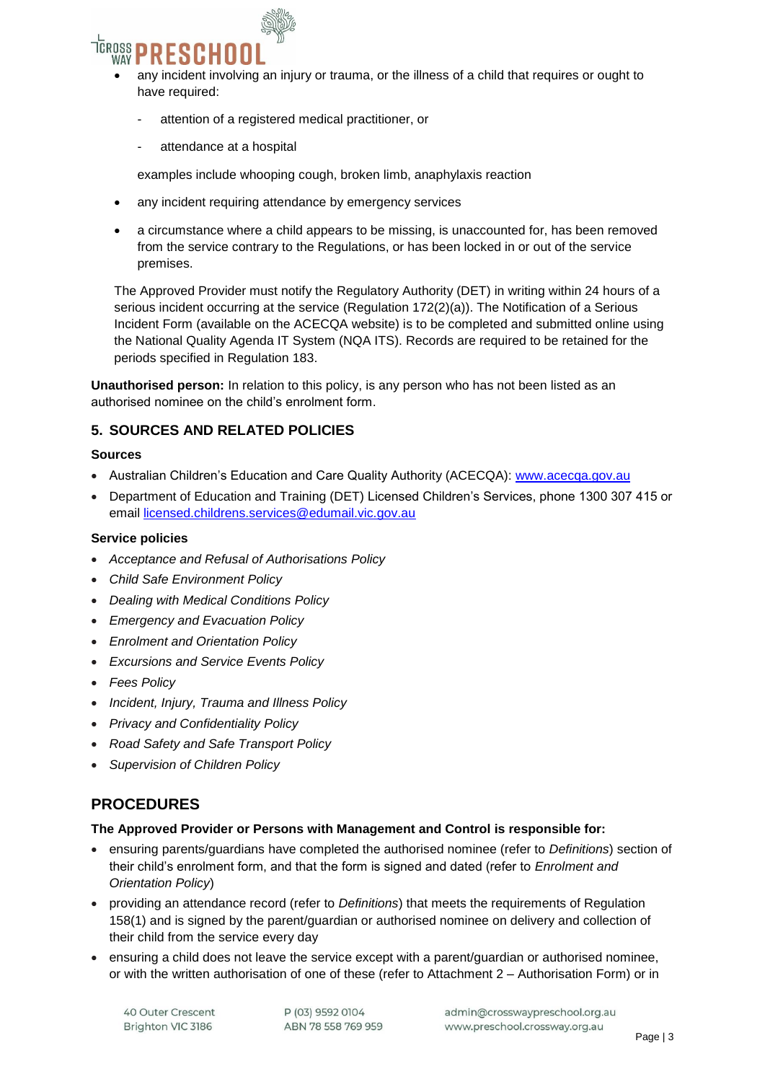

- any incident involving an injury or trauma, or the illness of a child that requires or ought to have required:
	- attention of a registered medical practitioner, or
	- attendance at a hospital

examples include whooping cough, broken limb, anaphylaxis reaction

- any incident requiring attendance by emergency services
- a circumstance where a child appears to be missing, is unaccounted for, has been removed from the service contrary to the Regulations, or has been locked in or out of the service premises.

The Approved Provider must notify the Regulatory Authority (DET) in writing within 24 hours of a serious incident occurring at the service (Regulation 172(2)(a)). The Notification of a Serious Incident Form (available on the ACECQA website) is to be completed and submitted online using the National Quality Agenda IT System (NQA ITS). Records are required to be retained for the periods specified in Regulation 183.

**Unauthorised person:** In relation to this policy, is any person who has not been listed as an authorised nominee on the child's enrolment form.

## **5. SOURCES AND RELATED POLICIES**

#### **Sources**

- Australian Children's Education and Care Quality Authority (ACECQA): [www.acecqa.gov.au](http://www.acecqa.gov.au/)
- Department of Education and Training (DET) Licensed Children's Services, phone 1300 307 415 or email [licensed.childrens.services@edumail.vic.gov.au](mailto:licensed.childrens.services@edumail.vic.gov.au)

#### **Service policies**

- *Acceptance and Refusal of Authorisations Policy*
- *Child Safe Environment Policy*
- *Dealing with Medical Conditions Policy*
- *Emergency and Evacuation Policy*
- *Enrolment and Orientation Policy*
- *Excursions and Service Events Policy*
- *Fees Policy*
- *Incident, Injury, Trauma and Illness Policy*
- *Privacy and Confidentiality Policy*
- *Road Safety and Safe Transport Policy*
- *Supervision of Children Policy*

## **PROCEDURES**

#### **The Approved Provider or Persons with Management and Control is responsible for:**

- ensuring parents/guardians have completed the authorised nominee (refer to *Definitions*) section of their child's enrolment form, and that the form is signed and dated (refer to *Enrolment and Orientation Policy*)
- providing an attendance record (refer to *Definitions*) that meets the requirements of Regulation 158(1) and is signed by the parent/guardian or authorised nominee on delivery and collection of their child from the service every day
- ensuring a child does not leave the service except with a parent/guardian or authorised nominee, or with the written authorisation of one of these (refer to Attachment 2 – Authorisation Form) or in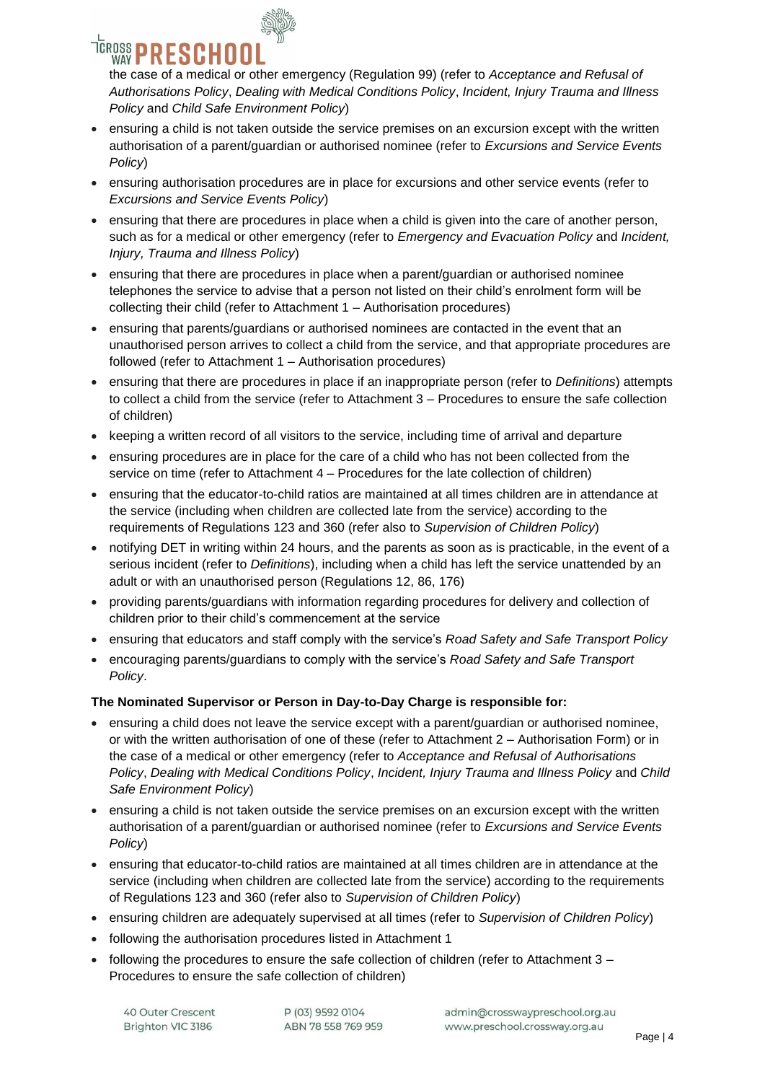

the case of a medical or other emergency (Regulation 99) (refer to *Acceptance and Refusal of Authorisations Policy*, *Dealing with Medical Conditions Policy*, *Incident, Injury Trauma and Illness Policy* and *Child Safe Environment Policy*)

- ensuring a child is not taken outside the service premises on an excursion except with the written authorisation of a parent/guardian or authorised nominee (refer to *Excursions and Service Events Policy*)
- ensuring authorisation procedures are in place for excursions and other service events (refer to *Excursions and Service Events Policy*)
- ensuring that there are procedures in place when a child is given into the care of another person, such as for a medical or other emergency (refer to *Emergency and Evacuation Policy* and *Incident, Injury, Trauma and Illness Policy*)
- ensuring that there are procedures in place when a parent/guardian or authorised nominee telephones the service to advise that a person not listed on their child's enrolment form will be collecting their child (refer to Attachment 1 – Authorisation procedures)
- ensuring that parents/guardians or authorised nominees are contacted in the event that an unauthorised person arrives to collect a child from the service, and that appropriate procedures are followed (refer to Attachment 1 – Authorisation procedures)
- ensuring that there are procedures in place if an inappropriate person (refer to *Definitions*) attempts to collect a child from the service (refer to Attachment 3 – Procedures to ensure the safe collection of children)
- keeping a written record of all visitors to the service, including time of arrival and departure
- ensuring procedures are in place for the care of a child who has not been collected from the service on time (refer to Attachment 4 – Procedures for the late collection of children)
- ensuring that the educator-to-child ratios are maintained at all times children are in attendance at the service (including when children are collected late from the service) according to the requirements of Regulations 123 and 360 (refer also to *Supervision of Children Policy*)
- notifying DET in writing within 24 hours, and the parents as soon as is practicable, in the event of a serious incident (refer to *Definitions*), including when a child has left the service unattended by an adult or with an unauthorised person (Regulations 12, 86, 176)
- providing parents/guardians with information regarding procedures for delivery and collection of children prior to their child's commencement at the service
- ensuring that educators and staff comply with the service's *Road Safety and Safe Transport Policy*
- encouraging parents/guardians to comply with the service's *Road Safety and Safe Transport Policy*.

## **The Nominated Supervisor or Person in Day-to-Day Charge is responsible for:**

- ensuring a child does not leave the service except with a parent/guardian or authorised nominee, or with the written authorisation of one of these (refer to Attachment 2 – Authorisation Form) or in the case of a medical or other emergency (refer to *Acceptance and Refusal of Authorisations Policy*, *Dealing with Medical Conditions Policy*, *Incident, Injury Trauma and Illness Policy* and *Child Safe Environment Policy*)
- ensuring a child is not taken outside the service premises on an excursion except with the written authorisation of a parent/guardian or authorised nominee (refer to *Excursions and Service Events Policy*)
- ensuring that educator-to-child ratios are maintained at all times children are in attendance at the service (including when children are collected late from the service) according to the requirements of Regulations 123 and 360 (refer also to *Supervision of Children Policy*)
- ensuring children are adequately supervised at all times (refer to *Supervision of Children Policy*)
- following the authorisation procedures listed in Attachment 1
- following the procedures to ensure the safe collection of children (refer to Attachment 3 Procedures to ensure the safe collection of children)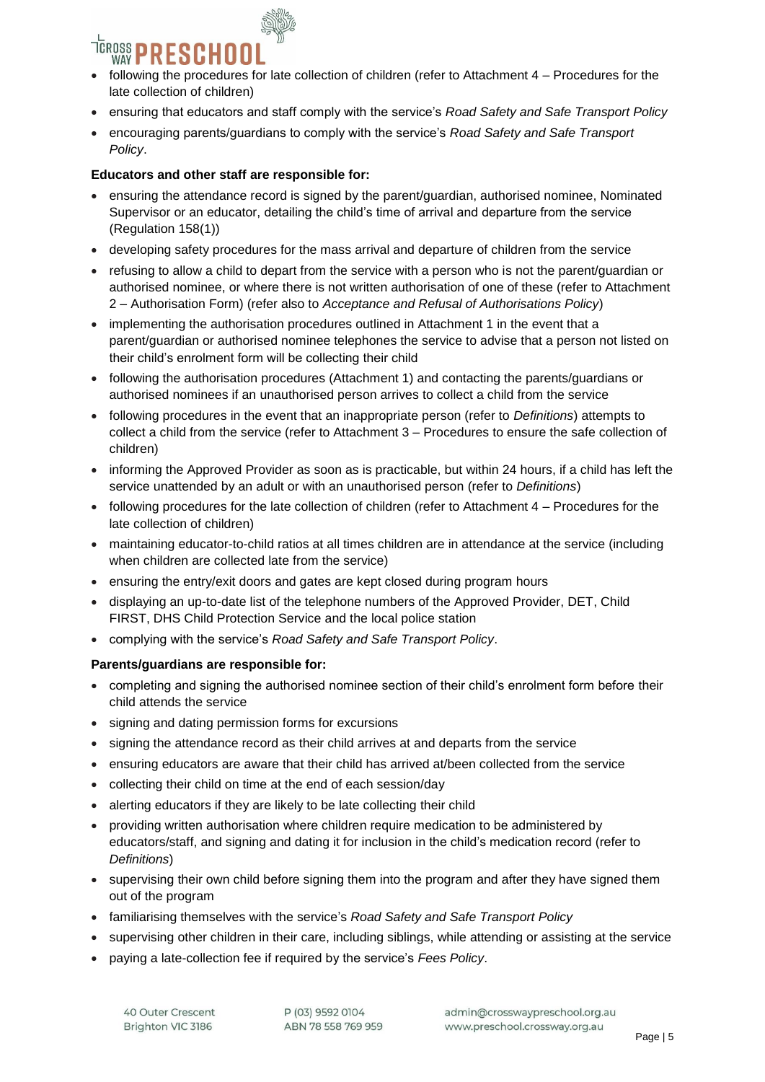

- following the procedures for late collection of children (refer to Attachment 4 Procedures for the late collection of children)
- ensuring that educators and staff comply with the service's *Road Safety and Safe Transport Policy*
- encouraging parents/guardians to comply with the service's *Road Safety and Safe Transport Policy*.

### **Educators and other staff are responsible for:**

- ensuring the attendance record is signed by the parent/guardian, authorised nominee, Nominated Supervisor or an educator, detailing the child's time of arrival and departure from the service (Regulation 158(1))
- developing safety procedures for the mass arrival and departure of children from the service
- refusing to allow a child to depart from the service with a person who is not the parent/guardian or authorised nominee, or where there is not written authorisation of one of these (refer to Attachment 2 – Authorisation Form) (refer also to *Acceptance and Refusal of Authorisations Policy*)
- implementing the authorisation procedures outlined in Attachment 1 in the event that a parent/guardian or authorised nominee telephones the service to advise that a person not listed on their child's enrolment form will be collecting their child
- following the authorisation procedures (Attachment 1) and contacting the parents/guardians or authorised nominees if an unauthorised person arrives to collect a child from the service
- following procedures in the event that an inappropriate person (refer to *Definitions*) attempts to collect a child from the service (refer to Attachment 3 – Procedures to ensure the safe collection of children)
- informing the Approved Provider as soon as is practicable, but within 24 hours, if a child has left the service unattended by an adult or with an unauthorised person (refer to *Definitions*)
- following procedures for the late collection of children (refer to Attachment 4 Procedures for the late collection of children)
- maintaining educator-to-child ratios at all times children are in attendance at the service (including when children are collected late from the service)
- ensuring the entry/exit doors and gates are kept closed during program hours
- displaying an up-to-date list of the telephone numbers of the Approved Provider, DET, Child FIRST, DHS Child Protection Service and the local police station
- complying with the service's *Road Safety and Safe Transport Policy*.

#### **Parents/guardians are responsible for:**

- completing and signing the authorised nominee section of their child's enrolment form before their child attends the service
- signing and dating permission forms for excursions
- signing the attendance record as their child arrives at and departs from the service
- ensuring educators are aware that their child has arrived at/been collected from the service
- collecting their child on time at the end of each session/day
- alerting educators if they are likely to be late collecting their child
- providing written authorisation where children require medication to be administered by educators/staff, and signing and dating it for inclusion in the child's medication record (refer to *Definitions*)
- supervising their own child before signing them into the program and after they have signed them out of the program
- familiarising themselves with the service's *Road Safety and Safe Transport Policy*
- supervising other children in their care, including siblings, while attending or assisting at the service
- paying a late-collection fee if required by the service's *Fees Policy*.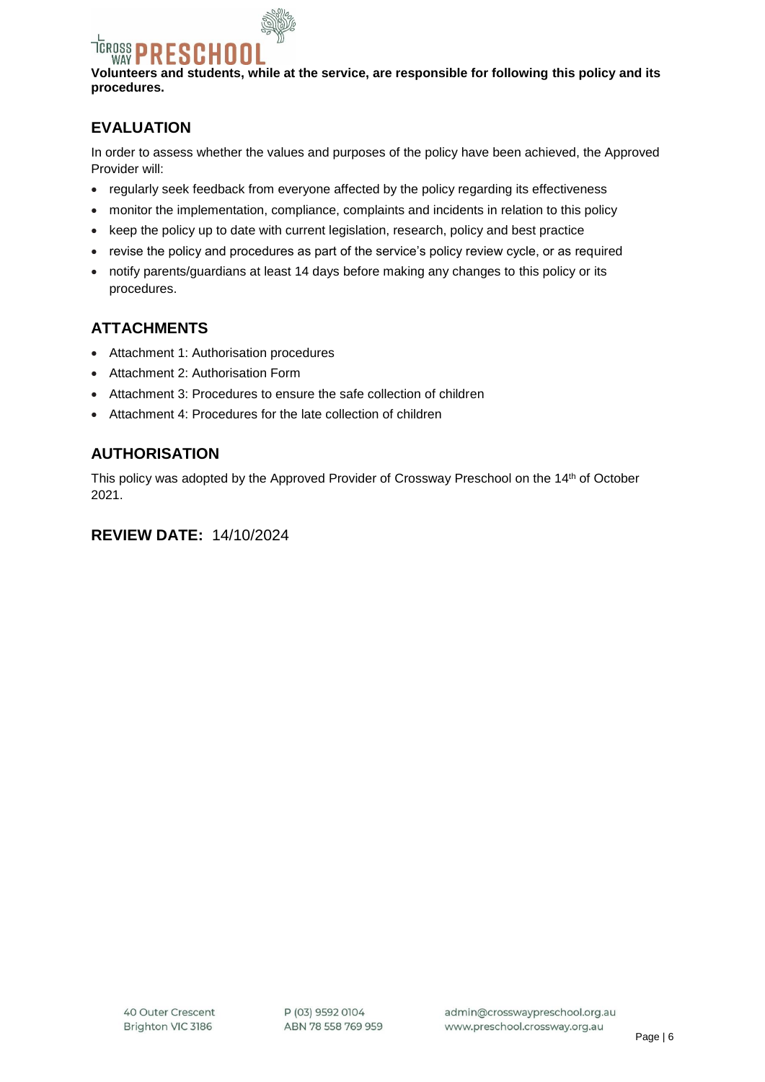SCHO **WAY Volunteers and students, while at the service, are responsible for following this policy and its procedures.**

## **EVALUATION**

TCROSS

In order to assess whether the values and purposes of the policy have been achieved, the Approved Provider will:

- regularly seek feedback from everyone affected by the policy regarding its effectiveness
- monitor the implementation, compliance, complaints and incidents in relation to this policy
- keep the policy up to date with current legislation, research, policy and best practice
- revise the policy and procedures as part of the service's policy review cycle, or as required
- notify parents/guardians at least 14 days before making any changes to this policy or its procedures.

## **ATTACHMENTS**

- Attachment 1: Authorisation procedures
- Attachment 2: Authorisation Form
- Attachment 3: Procedures to ensure the safe collection of children
- Attachment 4: Procedures for the late collection of children

## **AUTHORISATION**

This policy was adopted by the Approved Provider of Crossway Preschool on the 14<sup>th</sup> of October 2021.

## **REVIEW DATE:** 14/10/2024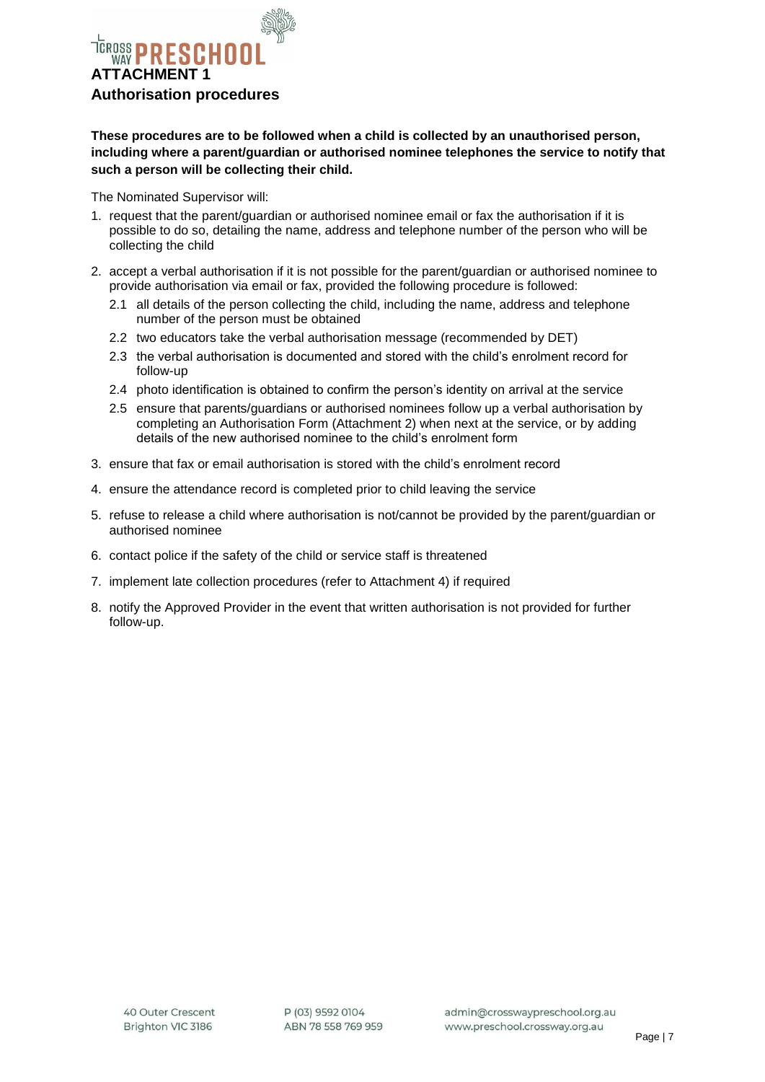

**These procedures are to be followed when a child is collected by an unauthorised person, including where a parent/guardian or authorised nominee telephones the service to notify that such a person will be collecting their child.**

The Nominated Supervisor will:

- 1. request that the parent/guardian or authorised nominee email or fax the authorisation if it is possible to do so, detailing the name, address and telephone number of the person who will be collecting the child
- 2. accept a verbal authorisation if it is not possible for the parent/guardian or authorised nominee to provide authorisation via email or fax, provided the following procedure is followed:
	- 2.1 all details of the person collecting the child, including the name, address and telephone number of the person must be obtained
	- 2.2 two educators take the verbal authorisation message (recommended by DET)
	- 2.3 the verbal authorisation is documented and stored with the child's enrolment record for follow-up
	- 2.4 photo identification is obtained to confirm the person's identity on arrival at the service
	- 2.5 ensure that parents/guardians or authorised nominees follow up a verbal authorisation by completing an Authorisation Form (Attachment 2) when next at the service, or by adding details of the new authorised nominee to the child's enrolment form
- 3. ensure that fax or email authorisation is stored with the child's enrolment record
- 4. ensure the attendance record is completed prior to child leaving the service
- 5. refuse to release a child where authorisation is not/cannot be provided by the parent/guardian or authorised nominee
- 6. contact police if the safety of the child or service staff is threatened
- 7. implement late collection procedures (refer to Attachment 4) if required
- 8. notify the Approved Provider in the event that written authorisation is not provided for further follow-up.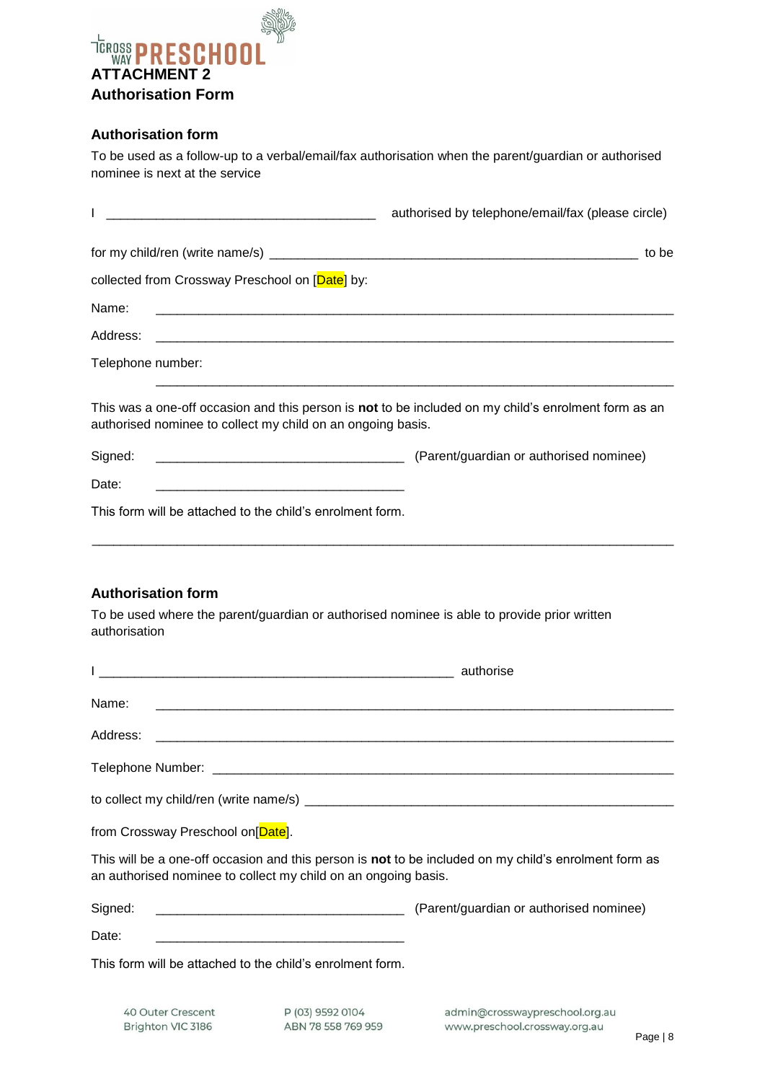

### **Authorisation form**

To be used as a follow-up to a verbal/email/fax authorisation when the parent/guardian or authorised nominee is next at the service

|                                                                                                                                                                     | authorised by telephone/email/fax (please circle)                               |
|---------------------------------------------------------------------------------------------------------------------------------------------------------------------|---------------------------------------------------------------------------------|
|                                                                                                                                                                     | to be                                                                           |
| collected from Crossway Preschool on [Date] by:                                                                                                                     |                                                                                 |
| Name:                                                                                                                                                               |                                                                                 |
|                                                                                                                                                                     |                                                                                 |
| Telephone number:                                                                                                                                                   |                                                                                 |
| This was a one-off occasion and this person is not to be included on my child's enrolment form as an<br>authorised nominee to collect my child on an ongoing basis. |                                                                                 |
| Signed:                                                                                                                                                             | (Parent/guardian or authorised nominee) (Parent/guardian or authorised nominee) |
| Date:                                                                                                                                                               |                                                                                 |
| This form will be attached to the child's enrolment form.                                                                                                           |                                                                                 |

## **Authorisation form**

To be used where the parent/guardian or authorised nominee is able to provide prior written authorisation

| <u> 1989 - Jan James James Barbara, martin da kasar Amerikaan kasar dan bahasa dalam bahasa dalam bahasa dalam bah</u>                                                  | authorise |
|-------------------------------------------------------------------------------------------------------------------------------------------------------------------------|-----------|
|                                                                                                                                                                         |           |
| Address:<br><u> 1980 - Johann John Stein, marwolaethau (b. 1980)</u>                                                                                                    |           |
|                                                                                                                                                                         |           |
|                                                                                                                                                                         |           |
|                                                                                                                                                                         |           |
| from Crossway Preschool on [Date].                                                                                                                                      |           |
| This will be a one-off occasion and this person is not to be included on my child's enrolment form as<br>an authorised nominee to collect my child on an ongoing basis. |           |
| Signed:                                                                                                                                                                 |           |
| Date:                                                                                                                                                                   |           |
| This form will be attached to the child's enrolment form.                                                                                                               |           |

40 Outer Crescent Brighton VIC 3186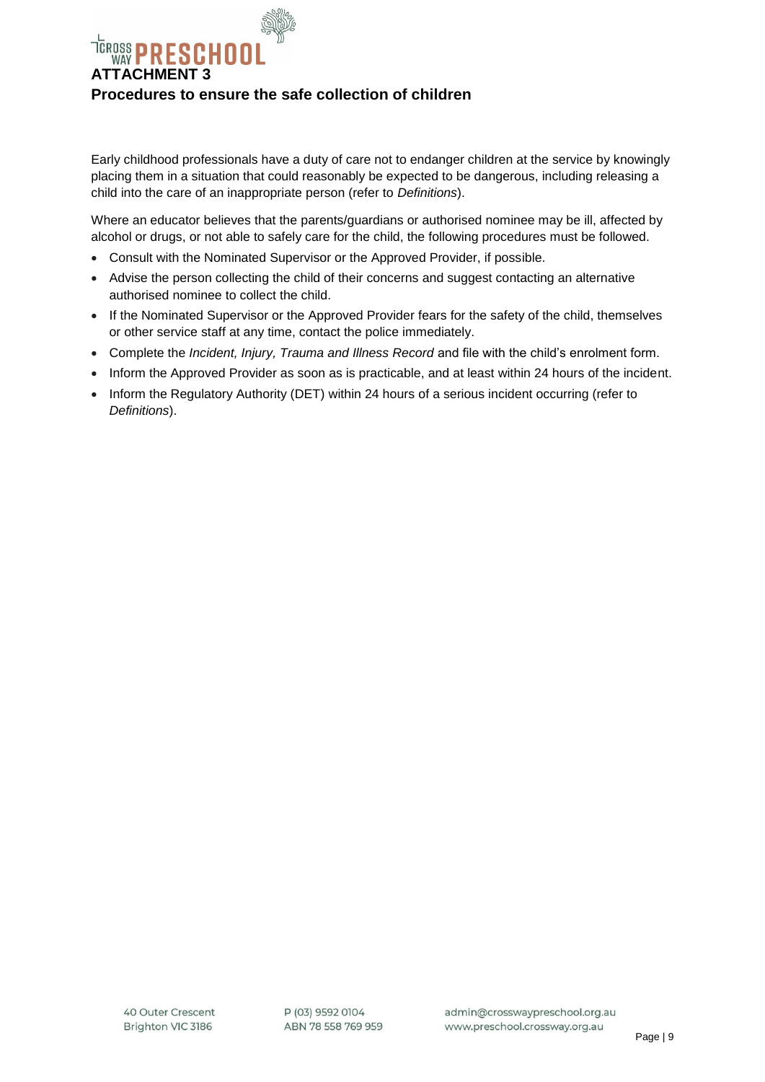

Early childhood professionals have a duty of care not to endanger children at the service by knowingly placing them in a situation that could reasonably be expected to be dangerous, including releasing a child into the care of an inappropriate person (refer to *Definitions*).

Where an educator believes that the parents/guardians or authorised nominee may be ill, affected by alcohol or drugs, or not able to safely care for the child, the following procedures must be followed.

- Consult with the Nominated Supervisor or the Approved Provider, if possible.
- Advise the person collecting the child of their concerns and suggest contacting an alternative authorised nominee to collect the child.
- If the Nominated Supervisor or the Approved Provider fears for the safety of the child, themselves or other service staff at any time, contact the police immediately.
- Complete the *Incident, Injury, Trauma and Illness Record* and file with the child's enrolment form.
- Inform the Approved Provider as soon as is practicable, and at least within 24 hours of the incident.
- Inform the Regulatory Authority (DET) within 24 hours of a serious incident occurring (refer to *Definitions*).